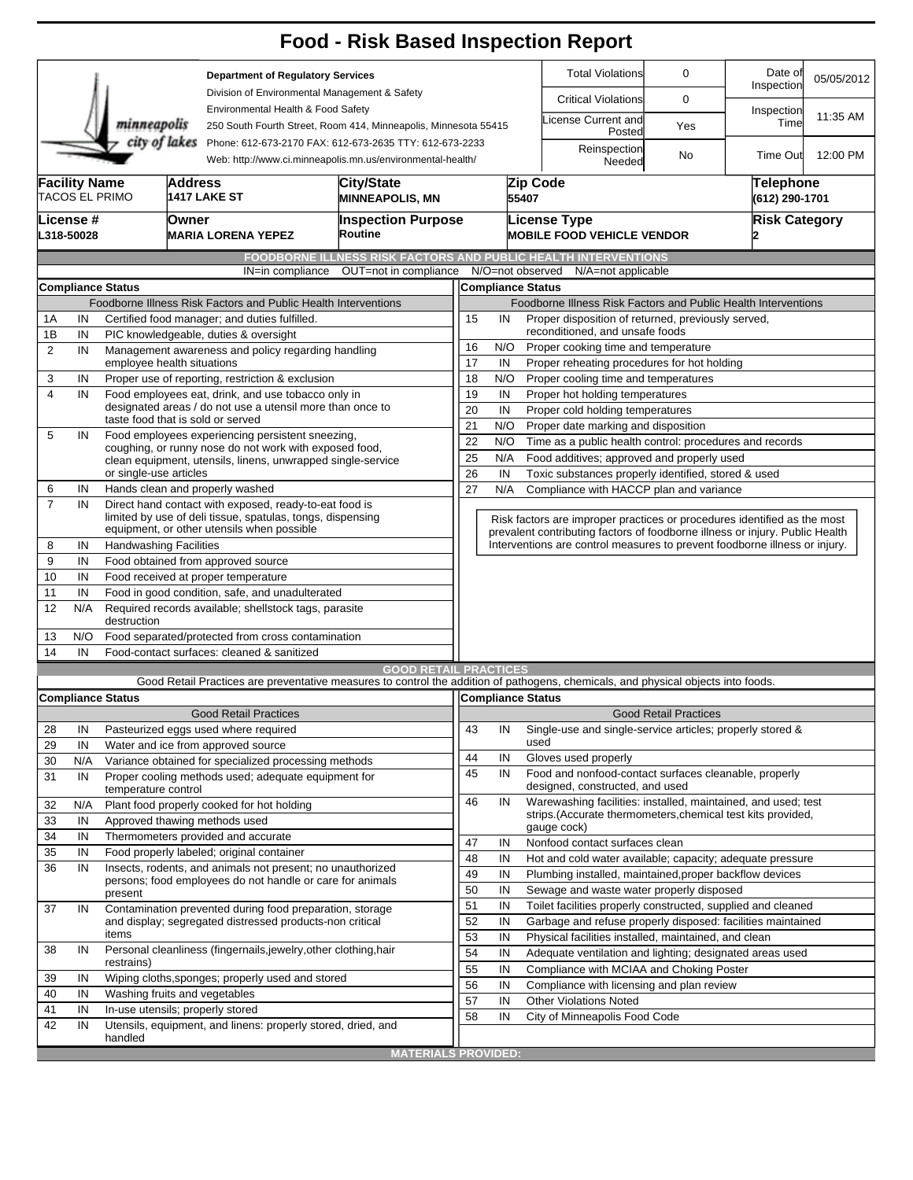|                                                                                                                                        |                                                                |                                                                                                                      |                                                           |                                                                                                       | <b>Food - Risk Based Inspection Report</b>                                                                                                                        |                                                                                      |                                                                                                              |                                                                          |                                                                                          |                              |                             |            |  |  |  |
|----------------------------------------------------------------------------------------------------------------------------------------|----------------------------------------------------------------|----------------------------------------------------------------------------------------------------------------------|-----------------------------------------------------------|-------------------------------------------------------------------------------------------------------|-------------------------------------------------------------------------------------------------------------------------------------------------------------------|--------------------------------------------------------------------------------------|--------------------------------------------------------------------------------------------------------------|--------------------------------------------------------------------------|------------------------------------------------------------------------------------------|------------------------------|-----------------------------|------------|--|--|--|
|                                                                                                                                        |                                                                |                                                                                                                      |                                                           | <b>Department of Regulatory Services</b><br>Division of Environmental Management & Safety             |                                                                                                                                                                   |                                                                                      |                                                                                                              |                                                                          | <b>Total Violations</b>                                                                  | 0                            | Date of<br>Inspection       | 05/05/2012 |  |  |  |
|                                                                                                                                        |                                                                |                                                                                                                      |                                                           |                                                                                                       |                                                                                                                                                                   |                                                                                      |                                                                                                              |                                                                          | <b>Critical Violations</b>                                                               | 0                            |                             |            |  |  |  |
|                                                                                                                                        |                                                                | minneapolis                                                                                                          |                                                           | Environmental Health & Food Safety<br>250 South Fourth Street, Room 414, Minneapolis, Minnesota 55415 |                                                                                                                                                                   |                                                                                      |                                                                                                              | icense Current and<br>Posted                                             | Yes                                                                                      | Inspection<br>Time           | 11:35 AM                    |            |  |  |  |
| city of lakes<br>Phone: 612-673-2170 FAX: 612-673-2635 TTY: 612-673-2233<br>Web: http://www.ci.minneapolis.mn.us/environmental-health/ |                                                                |                                                                                                                      |                                                           |                                                                                                       |                                                                                                                                                                   |                                                                                      | Reinspection<br>Needed                                                                                       | No                                                                       | <b>Time Out</b>                                                                          | 12:00 PM                     |                             |            |  |  |  |
| <b>Facility Name</b>                                                                                                                   |                                                                | TACOS EL PRIMO                                                                                                       | <b>Address</b>                                            | <b>1417 LAKE ST</b>                                                                                   | City/State<br><b>MINNEAPOLIS, MN</b>                                                                                                                              |                                                                                      |                                                                                                              | 55407                                                                    | Zip Code                                                                                 |                              | Telephone<br>(612) 290-1701 |            |  |  |  |
|                                                                                                                                        | <b>License</b> #                                               |                                                                                                                      |                                                           |                                                                                                       |                                                                                                                                                                   |                                                                                      |                                                                                                              |                                                                          |                                                                                          |                              |                             |            |  |  |  |
|                                                                                                                                        | L318-50028                                                     | Owner<br><b>MARIA LORENA YEPEZ</b>                                                                                   |                                                           |                                                                                                       | <b>Inspection Purpose</b><br>Routine                                                                                                                              |                                                                                      |                                                                                                              |                                                                          | <b>License Type</b><br><b>MOBILE FOOD VEHICLE VENDOR</b>                                 |                              | <b>Risk Category</b>        |            |  |  |  |
|                                                                                                                                        |                                                                |                                                                                                                      |                                                           |                                                                                                       | <b>FOODBORNE ILLNESS RISK FACTORS AND PUBLIC HEALTH INTERVENTIONS</b>                                                                                             |                                                                                      |                                                                                                              |                                                                          |                                                                                          |                              |                             |            |  |  |  |
|                                                                                                                                        |                                                                |                                                                                                                      |                                                           | IN=in compliance                                                                                      | OUT=not in compliance                                                                                                                                             |                                                                                      |                                                                                                              |                                                                          | N/O=not observed<br>N/A=not applicable                                                   |                              |                             |            |  |  |  |
|                                                                                                                                        |                                                                | <b>Compliance Status</b>                                                                                             |                                                           |                                                                                                       |                                                                                                                                                                   |                                                                                      |                                                                                                              |                                                                          | <b>Compliance Status</b>                                                                 |                              |                             |            |  |  |  |
|                                                                                                                                        | Foodborne Illness Risk Factors and Public Health Interventions |                                                                                                                      |                                                           |                                                                                                       |                                                                                                                                                                   |                                                                                      |                                                                                                              | Foodborne Illness Risk Factors and Public Health Interventions           |                                                                                          |                              |                             |            |  |  |  |
| 1Α                                                                                                                                     | IN                                                             |                                                                                                                      |                                                           | Certified food manager; and duties fulfilled.                                                         |                                                                                                                                                                   | Proper disposition of returned, previously served,<br>15<br>IN                       |                                                                                                              |                                                                          |                                                                                          |                              |                             |            |  |  |  |
| 1B                                                                                                                                     | IN                                                             | PIC knowledgeable, duties & oversight                                                                                |                                                           |                                                                                                       |                                                                                                                                                                   |                                                                                      | reconditioned, and unsafe foods                                                                              |                                                                          |                                                                                          |                              |                             |            |  |  |  |
| $\overline{2}$                                                                                                                         | IN                                                             | Management awareness and policy regarding handling<br>employee health situations                                     |                                                           |                                                                                                       |                                                                                                                                                                   | N/O<br>16<br>Proper cooking time and temperature                                     |                                                                                                              |                                                                          |                                                                                          |                              |                             |            |  |  |  |
| 3                                                                                                                                      | IN                                                             | Proper use of reporting, restriction & exclusion                                                                     |                                                           |                                                                                                       |                                                                                                                                                                   |                                                                                      | 17<br>IN<br>Proper reheating procedures for hot holding<br>N/O<br>18<br>Proper cooling time and temperatures |                                                                          |                                                                                          |                              |                             |            |  |  |  |
| $\overline{\mathbf{4}}$                                                                                                                | IN                                                             | Food employees eat, drink, and use tobacco only in                                                                   |                                                           |                                                                                                       |                                                                                                                                                                   | 19<br>IN<br>Proper hot holding temperatures                                          |                                                                                                              |                                                                          |                                                                                          |                              |                             |            |  |  |  |
|                                                                                                                                        |                                                                |                                                                                                                      |                                                           | designated areas / do not use a utensil more than once to                                             |                                                                                                                                                                   | 20<br>IN                                                                             |                                                                                                              |                                                                          |                                                                                          |                              |                             |            |  |  |  |
|                                                                                                                                        |                                                                | taste food that is sold or served                                                                                    |                                                           |                                                                                                       |                                                                                                                                                                   | Proper cold holding temperatures<br>21<br>N/O<br>Proper date marking and disposition |                                                                                                              |                                                                          |                                                                                          |                              |                             |            |  |  |  |
| 5                                                                                                                                      | IN                                                             |                                                                                                                      | Food employees experiencing persistent sneezing,          | 22                                                                                                    | N/O                                                                                                                                                               |                                                                                      | Time as a public health control: procedures and records                                                      |                                                                          |                                                                                          |                              |                             |            |  |  |  |
|                                                                                                                                        |                                                                |                                                                                                                      | coughing, or runny nose do not work with exposed food,    | 25<br>N/A<br>Food additives; approved and properly used                                               |                                                                                                                                                                   |                                                                                      |                                                                                                              |                                                                          |                                                                                          |                              |                             |            |  |  |  |
|                                                                                                                                        |                                                                | clean equipment, utensils, linens, unwrapped single-service<br>or single-use articles                                |                                                           |                                                                                                       |                                                                                                                                                                   |                                                                                      |                                                                                                              | 26<br>IN<br>Toxic substances properly identified, stored & used          |                                                                                          |                              |                             |            |  |  |  |
| 6                                                                                                                                      | IN                                                             |                                                                                                                      |                                                           | Hands clean and properly washed                                                                       |                                                                                                                                                                   | 27<br>N/A<br>Compliance with HACCP plan and variance                                 |                                                                                                              |                                                                          |                                                                                          |                              |                             |            |  |  |  |
| $\overline{7}$                                                                                                                         | IN                                                             | Direct hand contact with exposed, ready-to-eat food is<br>limited by use of deli tissue, spatulas, tongs, dispensing |                                                           |                                                                                                       |                                                                                                                                                                   |                                                                                      |                                                                                                              | Risk factors are improper practices or procedures identified as the most |                                                                                          |                              |                             |            |  |  |  |
|                                                                                                                                        |                                                                |                                                                                                                      |                                                           | equipment, or other utensils when possible                                                            |                                                                                                                                                                   |                                                                                      |                                                                                                              |                                                                          | prevalent contributing factors of foodborne illness or injury. Public Health             |                              |                             |            |  |  |  |
| 8                                                                                                                                      | IN                                                             | <b>Handwashing Facilities</b>                                                                                        |                                                           |                                                                                                       |                                                                                                                                                                   |                                                                                      |                                                                                                              |                                                                          | Interventions are control measures to prevent foodborne illness or injury.               |                              |                             |            |  |  |  |
| 9                                                                                                                                      | IN                                                             | Food obtained from approved source                                                                                   |                                                           |                                                                                                       |                                                                                                                                                                   |                                                                                      |                                                                                                              |                                                                          |                                                                                          |                              |                             |            |  |  |  |
| 10                                                                                                                                     | IN                                                             | Food received at proper temperature                                                                                  |                                                           |                                                                                                       |                                                                                                                                                                   |                                                                                      |                                                                                                              |                                                                          |                                                                                          |                              |                             |            |  |  |  |
| 11                                                                                                                                     | IN                                                             | Food in good condition, safe, and unadulterated                                                                      |                                                           |                                                                                                       |                                                                                                                                                                   |                                                                                      |                                                                                                              |                                                                          |                                                                                          |                              |                             |            |  |  |  |
| 12                                                                                                                                     | N/A                                                            | Required records available; shellstock tags, parasite<br>destruction                                                 |                                                           |                                                                                                       |                                                                                                                                                                   |                                                                                      |                                                                                                              |                                                                          |                                                                                          |                              |                             |            |  |  |  |
| 13                                                                                                                                     | N/O                                                            | Food separated/protected from cross contamination                                                                    |                                                           |                                                                                                       |                                                                                                                                                                   |                                                                                      |                                                                                                              |                                                                          |                                                                                          |                              |                             |            |  |  |  |
| 14                                                                                                                                     | IN                                                             |                                                                                                                      |                                                           | Food-contact surfaces: cleaned & sanitized                                                            |                                                                                                                                                                   |                                                                                      |                                                                                                              |                                                                          |                                                                                          |                              |                             |            |  |  |  |
|                                                                                                                                        |                                                                |                                                                                                                      |                                                           |                                                                                                       | <b>GOOD RETAIL PRACTICES</b><br>Good Retail Practices are preventative measures to control the addition of pathogens, chemicals, and physical objects into foods. |                                                                                      |                                                                                                              |                                                                          |                                                                                          |                              |                             |            |  |  |  |
|                                                                                                                                        |                                                                | <b>Compliance Status</b>                                                                                             |                                                           |                                                                                                       |                                                                                                                                                                   |                                                                                      |                                                                                                              |                                                                          | Compliance Status                                                                        |                              |                             |            |  |  |  |
|                                                                                                                                        |                                                                |                                                                                                                      |                                                           | <b>Good Retail Practices</b>                                                                          |                                                                                                                                                                   |                                                                                      |                                                                                                              |                                                                          |                                                                                          | <b>Good Retail Practices</b> |                             |            |  |  |  |
| 28                                                                                                                                     | IN                                                             |                                                                                                                      |                                                           | Pasteurized eggs used where required                                                                  |                                                                                                                                                                   | 43                                                                                   | IN                                                                                                           |                                                                          | Single-use and single-service articles; properly stored &                                |                              |                             |            |  |  |  |
| 29                                                                                                                                     | IN                                                             |                                                                                                                      |                                                           | Water and ice from approved source                                                                    |                                                                                                                                                                   |                                                                                      |                                                                                                              |                                                                          | used                                                                                     |                              |                             |            |  |  |  |
| 30                                                                                                                                     | N/A                                                            |                                                                                                                      |                                                           | Variance obtained for specialized processing methods                                                  |                                                                                                                                                                   | 44                                                                                   | IN                                                                                                           |                                                                          | Gloves used properly                                                                     |                              |                             |            |  |  |  |
| 31                                                                                                                                     | IN                                                             | Proper cooling methods used; adequate equipment for<br>temperature control                                           |                                                           |                                                                                                       |                                                                                                                                                                   | 45                                                                                   | IN                                                                                                           |                                                                          | Food and nonfood-contact surfaces cleanable, properly<br>designed, constructed, and used |                              |                             |            |  |  |  |
| 32                                                                                                                                     | N/A                                                            |                                                                                                                      |                                                           | Plant food properly cooked for hot holding                                                            |                                                                                                                                                                   | 46                                                                                   | IN                                                                                                           |                                                                          | Warewashing facilities: installed, maintained, and used; test                            |                              |                             |            |  |  |  |
| 33                                                                                                                                     | IN                                                             |                                                                                                                      |                                                           | Approved thawing methods used                                                                         |                                                                                                                                                                   |                                                                                      |                                                                                                              |                                                                          | strips.(Accurate thermometers, chemical test kits provided,                              |                              |                             |            |  |  |  |
| 34                                                                                                                                     | IN                                                             |                                                                                                                      |                                                           | Thermometers provided and accurate                                                                    |                                                                                                                                                                   | 47                                                                                   | IN                                                                                                           |                                                                          | gauge cock)<br>Nonfood contact surfaces clean                                            |                              |                             |            |  |  |  |
| 35                                                                                                                                     | IN                                                             |                                                                                                                      |                                                           | Food properly labeled; original container                                                             |                                                                                                                                                                   | 48                                                                                   | IN                                                                                                           |                                                                          | Hot and cold water available; capacity; adequate pressure                                |                              |                             |            |  |  |  |
| 36                                                                                                                                     | IN                                                             |                                                                                                                      |                                                           | Insects, rodents, and animals not present; no unauthorized                                            |                                                                                                                                                                   | 49                                                                                   | IN                                                                                                           |                                                                          | Plumbing installed, maintained, proper backflow devices                                  |                              |                             |            |  |  |  |
|                                                                                                                                        |                                                                |                                                                                                                      | persons; food employees do not handle or care for animals |                                                                                                       |                                                                                                                                                                   |                                                                                      |                                                                                                              |                                                                          | Sewage and waste water properly disposed                                                 |                              |                             |            |  |  |  |
|                                                                                                                                        |                                                                | present                                                                                                              |                                                           |                                                                                                       |                                                                                                                                                                   | 50<br>51                                                                             | IN<br>IN                                                                                                     |                                                                          | Toilet facilities properly constructed, supplied and cleaned                             |                              |                             |            |  |  |  |
| 37                                                                                                                                     | IN                                                             |                                                                                                                      |                                                           | Contamination prevented during food preparation, storage                                              |                                                                                                                                                                   | 52                                                                                   | IN                                                                                                           |                                                                          | Garbage and refuse properly disposed: facilities maintained                              |                              |                             |            |  |  |  |
|                                                                                                                                        |                                                                | and display; segregated distressed products-non critical<br>items                                                    |                                                           |                                                                                                       |                                                                                                                                                                   | 53                                                                                   | IN                                                                                                           |                                                                          | Physical facilities installed, maintained, and clean                                     |                              |                             |            |  |  |  |
| 38                                                                                                                                     | IN                                                             |                                                                                                                      |                                                           | Personal cleanliness (fingernails, jewelry, other clothing, hair                                      |                                                                                                                                                                   | 54                                                                                   | IN                                                                                                           |                                                                          | Adequate ventilation and lighting; designated areas used                                 |                              |                             |            |  |  |  |
|                                                                                                                                        |                                                                | restrains)                                                                                                           |                                                           |                                                                                                       |                                                                                                                                                                   | 55                                                                                   | IN                                                                                                           |                                                                          | Compliance with MCIAA and Choking Poster                                                 |                              |                             |            |  |  |  |
| 39                                                                                                                                     | IN                                                             |                                                                                                                      |                                                           | Wiping cloths, sponges; properly used and stored                                                      |                                                                                                                                                                   | 56                                                                                   | IN                                                                                                           |                                                                          | Compliance with licensing and plan review                                                |                              |                             |            |  |  |  |
| 40                                                                                                                                     | IN                                                             | Washing fruits and vegetables                                                                                        |                                                           |                                                                                                       |                                                                                                                                                                   | 57                                                                                   | IN                                                                                                           |                                                                          | <b>Other Violations Noted</b>                                                            |                              |                             |            |  |  |  |
| 41                                                                                                                                     | IN                                                             | In-use utensils; properly stored                                                                                     |                                                           |                                                                                                       |                                                                                                                                                                   | 58                                                                                   | IN                                                                                                           |                                                                          | City of Minneapolis Food Code                                                            |                              |                             |            |  |  |  |
| 42                                                                                                                                     | IN                                                             | handled                                                                                                              |                                                           | Utensils, equipment, and linens: properly stored, dried, and                                          |                                                                                                                                                                   |                                                                                      |                                                                                                              |                                                                          |                                                                                          |                              |                             |            |  |  |  |
|                                                                                                                                        |                                                                |                                                                                                                      |                                                           |                                                                                                       | <b>MATERIALS PROVIDED:</b>                                                                                                                                        |                                                                                      |                                                                                                              |                                                                          |                                                                                          |                              |                             |            |  |  |  |